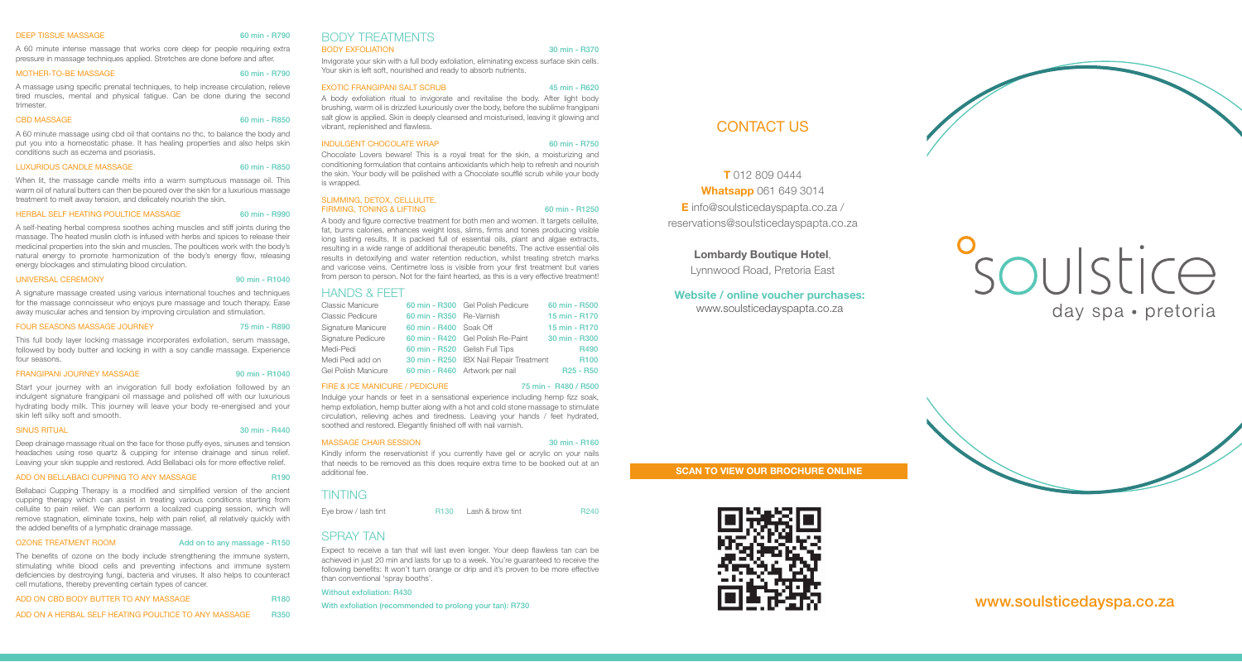#### DEEP TISSUE MASSAGE 60 min - R790

A 60 minute intense massage that works core deep for people requiring extra pressure in massage techniques applied. Stretches are done before and after.

#### MOTHER-TO-BE MASSAGE 60 min - R790

A massage using specific prenatal techniques, to help increase circulation, relieve tired muscles, mental and physical fatigue. Can be done during the second trimester.

#### CBD MASSAGE 60 min - R850

A 60 minute massage using cbd oil that contains no thc, to balance the body and put you into a homeostatic phase. It has healing properties and also helps skin conditions such as eczema and psoriasis.

#### LUXURIOUS CANDLE MASSAGE 60 min - R850

When lit, the massage candle melts into a warm sumptuous massage oil. This warm oil of natural butters can then be poured over the skin for a luxurious massage treatment to melt away tension, and delicately nourish the skin.

#### HERBAL SELF HEATING POULTICE MASSAGE 60 min - R990

A self-heating herbal compress soothes aching muscles and stiff joints during the massage. The heated muslin cloth is infused with herbs and spices to release their medicinal properties into the skin and muscles. The poultices work with the body's natural energy to promote harmonization of the body's energy flow, releasing energy blockages and stimulating blood circulation.

#### UNIVERSAL CEREMONY 90 min - R1040

A signature massage created using various international touches and techniques for the massage connoisseur who enjoys pure massage and touch therapy. Ease away muscular aches and tension by improving circulation and stimulation.

#### FOUR SEASONS MASSAGE JOURNEY 75 min - R890

This full body layer locking massage incorporates exfoliation, serum massage, followed by body butter and locking in with a soy candle massage. Experience four seasons.

#### FRANGIPANI JOURNEY MASSAGE 90 min - R1040

Start your journey with an invigoration full body exfoliation followed by an indulgent signature frangipani oil massage and polished off with our luxurious hydrating body milk. This journey will leave your body re-energised and your skin left silky soft and smooth.

#### SINUS RITUAL 30 min - R440

Deep drainage massage ritual on the face for those puffy eyes, sinuses and tension headaches using rose quartz & cupping for intense drainage and sinus relief. Leaving your skin supple and restored. Add Bellabaci oils for more effective relief.

#### ADD ON BELLABACI CUPPING TO ANY MASSAGE R190

Bellabaci Cupping Therapy is a modified and simplified version of the ancient cupping therapy which can assist in treating various conditions starting from cellulite to pain relief. We can perform a localized cupping session, which will remove stagnation, eliminate toxins, help with pain relief, all relatively quickly with the added benefits of a lymphatic drainage massage.

#### OZONE TREATMENT ROOM Add on to any massage - R150

The benefits of ozone on the body include strengthening the immune system, stimulating white blood cells and preventing infections and immune system deficiencies by destroying fungi, bacteria and viruses. It also helps to counteract cell mutations, thereby preventing certain types of cancer.

| ADD ON CBD BODY BUTTER TO ANY MASSAGE                | <b>R180</b> |
|------------------------------------------------------|-------------|
| ADD ON A HERBAL SELF HEATING POULTICE TO ANY MASSAGE | <b>B350</b> |

#### BODY TREATMENTS

#### BODY EXFOLIATION 30 min - R370

Invigorate your skin with a full body exfoliation, eliminating excess surface skin cells. Your skin is left soft, nourished and ready to absorb nutrients.

#### EXOTIC FRANGIPANI SALT SCRUB 45 min - R620

A body exfoliation ritual to invigorate and revitalise the body. After light body brushing, warm oil is drizzled luxuriously over the body, before the sublime frangipani salt glow is applied. Skin is deeply cleansed and moisturised, leaving it glowing and vibrant, replenished and flawless.

#### INDULGENT CHOCOLATE WRAP 60 min - R750

Chocolate Lovers beware! This is a royal treat for the skin, a moisturizing and conditioning formulation that contains antioxidants which help to refresh and nourish the skin. Your body will be polished with a Chocolate soufflé scrub while your body is wrapped.

#### SLIMMING, DETOX, CELLULITE, FIRMING, TONING & LIFTING 60 min - R1250

A body and figure corrective treatment for both men and women. It targets cellulite, fat, burns calories, enhances weight loss, slims, firms and tones producing visible long lasting results. It is packed full of essential oils, plant and algae extracts, resulting in a wide range of additional therapeutic benefits. The active essential oils results in detoxifying and water retention reduction, whilst treating stretch marks and varicose veins. Centimetre loss is visible from your first treatment but varies from person to person. Not for the faint hearted, as this is a very effective treatment!

## **HANDS & FEET**<br>Classic Manicure

| Classic Manicure    |                          | 60 min - R300 Gel Polish Pedicure       | 60 min - R500                     |
|---------------------|--------------------------|-----------------------------------------|-----------------------------------|
| Classic Pedicure    | 60 min - R350 Re-Varnish |                                         | 15 min - R170                     |
| Signature Manicure  | 60 min - R400 Soak Off   |                                         | 15 min - R170                     |
| Signature Pedicure  |                          | 60 min - R420 Gel Polish Re-Paint       | 30 min - R300                     |
| Medi-Pedi           |                          | 60 min - R520 Gelish Full Tips          | <b>R490</b>                       |
| Medi Pedi add on    |                          | 30 min - R250 IBX Nail Repair Treatment | R <sub>100</sub>                  |
| Gel Polish Manicure |                          | 60 min - R460 Artwork per nail          | R <sub>25</sub> - R <sub>50</sub> |
|                     |                          |                                         |                                   |

#### FIRE & ICE MANICURE / PEDICURE 75 min - R480 / R500

Indulge your hands or feet in a sensational experience including hemp fizz soak, hemp exfoliation, hemp butter along with a hot and cold stone massage to stimulate circulation, relieving aches and tiredness. Leaving your hands / feet hydrated, soothed and restored. Elegantly finished off with nail varnish.

#### MASSAGE CHAIR SESSION 30 min - R160

Kindly inform the reservationist if you currently have gel or acrylic on your nails that needs to be removed as this does require extra time to be booked out at an additional fee.

#### TINTING

Eve brow / lash tint **R130** Lash & brow tint R240

#### SPRAY TAN

Expect to receive a tan that will last even longer. Your deep flawless tan can be achieved in just 20 min and lasts for up to a week. You're guaranteed to receive the following benefits: It won't turn orange or drip and it's proven to be more effective than conventional 'spray booths'.

#### Without exfoliation: R430

With exfoliation (recommended to prolong your tan): R730

## CONTACT US

## T 012 809 0444 **Whatsapp 061 649 3014** E info@soulsticedayspapta.co.za / reservations@soulsticedayspapta.co.za

#### Lombardy Boutique Hotel,

Lynnwood Road, Pretoria East

## Website / online voucher purchases:

www.soulsticedayspapta.co.za

# soulstice day spa • pretoria

#### SCAN TO VIEW OUR BROCHURE ONLINE



www.soulsticedayspa.co.za